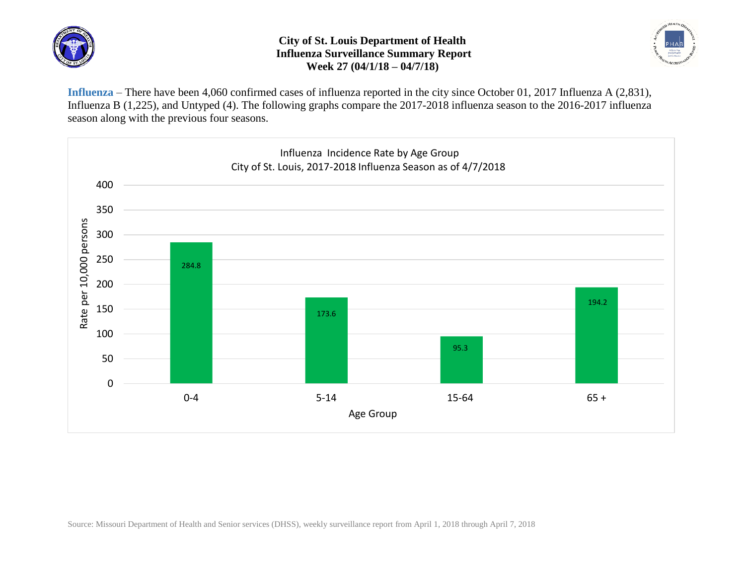

## **City of St. Louis Department of Health Influenza Surveillance Summary Report Week 27 (04/1/18 – 04/7/18)**



**Influenza** – There have been 4,060 confirmed cases of influenza reported in the city since October 01, 2017 Influenza A (2,831), Influenza B (1,225), and Untyped (4). The following graphs compare the 2017-2018 influenza season to the 2016-2017 influenza season along with the previous four seasons.